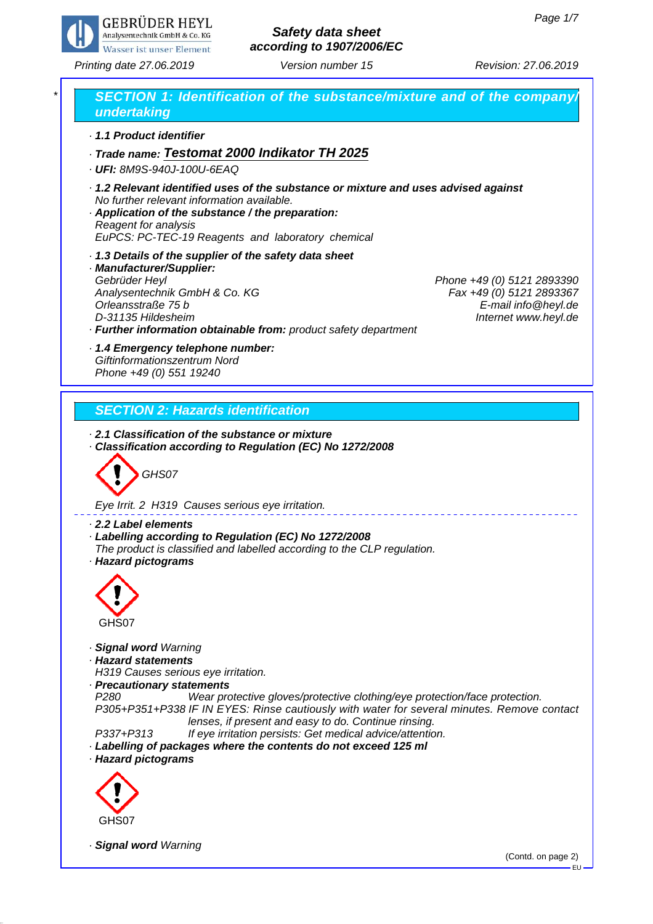

*Printing date 27.06.2019 Revision: 27.06.2019 Version number 15*

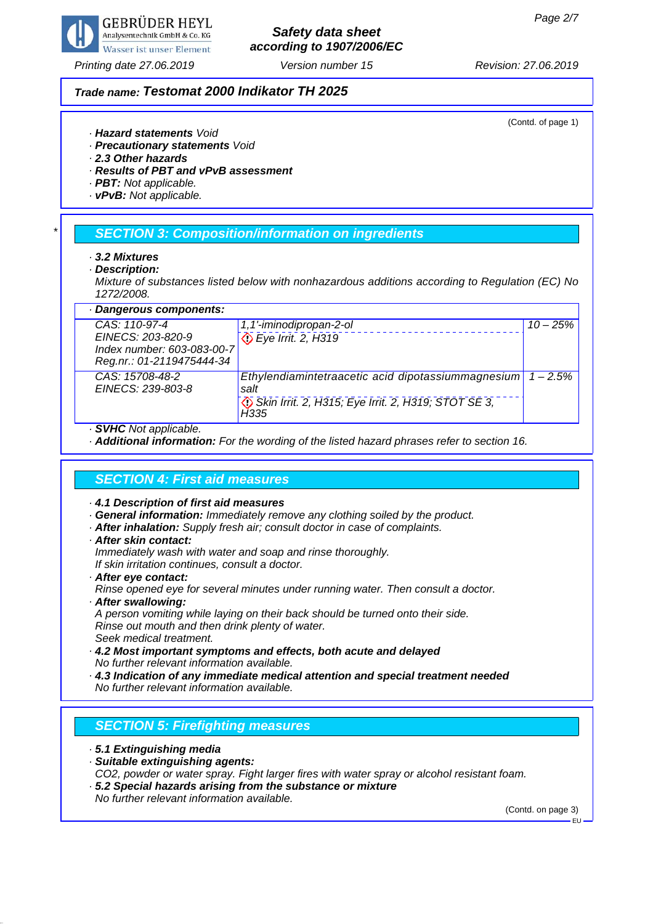

## *Printing date 27.06.2019 Revision: 27.06.2019 Version number 15*

# *Safety data sheet according to 1907/2006/EC*

### *Trade name: Testomat 2000 Indikator TH 2025*

(Contd. of page 1)

- *· Hazard statements Void*
- *· Precautionary statements Void*
- *· 2.3 Other hazards*
- *· Results of PBT and vPvB assessment*
- *· PBT: Not applicable.*
- *· vPvB: Not applicable.*

## *\* SECTION 3: Composition/information on ingredients*

- *· 3.2 Mixtures*
- *· Description:*
- *Mixture of substances listed below with nonhazardous additions according to Regulation (EC) No 1272/2008.*

| · Dangerous components:              |                                                             |            |
|--------------------------------------|-------------------------------------------------------------|------------|
| $CAS: 110-97-4$                      | 1,1'-iminodipropan-2-ol                                     | $10 - 25%$ |
| EINECS: 203-820-9                    | Eye Irrit. 2, H319                                          |            |
| Index number: 603-083-00-7           |                                                             |            |
| Reg.nr.: 01-2119475444-34            |                                                             |            |
| CAS: 15708-48-2<br>EINECS: 239-803-8 | Ethylendiamintetraacetic acid dipotassiummagnesium<br>salt  | $-2.5%$    |
|                                      | Skin Irrit. 2, H315; Eye Irrit. 2, H319; STOT SE 3,<br>H335 |            |
|                                      |                                                             |            |

- *· SVHC Not applicable.*
- *· Additional information: For the wording of the listed hazard phrases refer to section 16.*

## *SECTION 4: First aid measures*

- *· 4.1 Description of first aid measures*
- *· General information: Immediately remove any clothing soiled by the product.*
- *· After inhalation: Supply fresh air; consult doctor in case of complaints.*
- *· After skin contact:*
- *Immediately wash with water and soap and rinse thoroughly. If skin irritation continues, consult a doctor.*
- *· After eye contact:*
- *Rinse opened eye for several minutes under running water. Then consult a doctor.*
- *· After swallowing:*
- *A person vomiting while laying on their back should be turned onto their side. Rinse out mouth and then drink plenty of water.*
- *Seek medical treatment.*
- *· 4.2 Most important symptoms and effects, both acute and delayed No further relevant information available.*
- *· 4.3 Indication of any immediate medical attention and special treatment needed No further relevant information available.*

## *SECTION 5: Firefighting measures*

- *· 5.1 Extinguishing media*
- *· Suitable extinguishing agents:*
- *CO2, powder or water spray. Fight larger fires with water spray or alcohol resistant foam.*
- *· 5.2 Special hazards arising from the substance or mixture No further relevant information available.*

(Contd. on page 3)

EU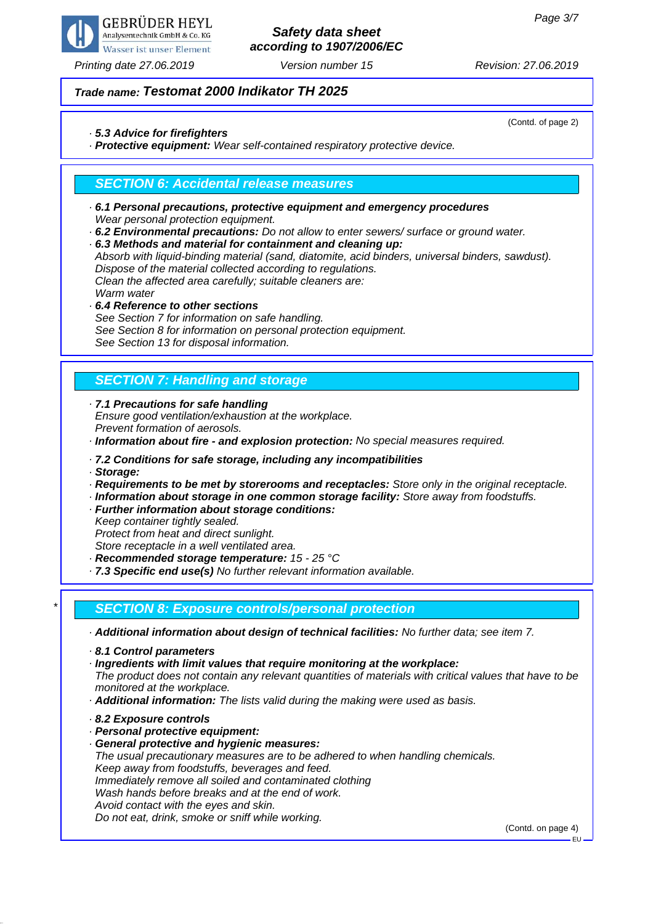

## *Printing date 27.06.2019 Revision: 27.06.2019 Version number 15*

# *Safety data sheet according to 1907/2006/EC*

(Contd. of page 2)

### *Trade name: Testomat 2000 Indikator TH 2025*

### *· 5.3 Advice for firefighters*

*· Protective equipment: Wear self-contained respiratory protective device.*

## *SECTION 6: Accidental release measures*

- *· 6.1 Personal precautions, protective equipment and emergency procedures Wear personal protection equipment.*
- *· 6.2 Environmental precautions: Do not allow to enter sewers/ surface or ground water.*

*· 6.3 Methods and material for containment and cleaning up: Absorb with liquid-binding material (sand, diatomite, acid binders, universal binders, sawdust). Dispose of the material collected according to regulations. Clean the affected area carefully; suitable cleaners are: Warm water*

*· 6.4 Reference to other sections See Section 7 for information on safe handling. See Section 8 for information on personal protection equipment. See Section 13 for disposal information.*

# *SECTION 7: Handling and storage*

*· 7.1 Precautions for safe handling Ensure good ventilation/exhaustion at the workplace. Prevent formation of aerosols.*

*· Information about fire - and explosion protection: No special measures required.*

### *· 7.2 Conditions for safe storage, including any incompatibilities*

*· Storage:*

- *· Requirements to be met by storerooms and receptacles: Store only in the original receptacle.*
- *· Information about storage in one common storage facility: Store away from foodstuffs.*
- *· Further information about storage conditions:*

*Keep container tightly sealed.*

*Protect from heat and direct sunlight.*

*Store receptacle in a well ventilated area.*

*· Recommended storage temperature: 15 - 25 °C*

*· 7.3 Specific end use(s) No further relevant information available.*

## *\* SECTION 8: Exposure controls/personal protection*

*· Additional information about design of technical facilities: No further data; see item 7.*

- *· 8.1 Control parameters*
- *· Ingredients with limit values that require monitoring at the workplace:*

*The product does not contain any relevant quantities of materials with critical values that have to be monitored at the workplace.*

- *· Additional information: The lists valid during the making were used as basis.*
- *· 8.2 Exposure controls*
- *· Personal protective equipment:*
- *· General protective and hygienic measures:*

*The usual precautionary measures are to be adhered to when handling chemicals. Keep away from foodstuffs, beverages and feed. Immediately remove all soiled and contaminated clothing Wash hands before breaks and at the end of work. Avoid contact with the eyes and skin. Do not eat, drink, smoke or sniff while working.*

(Contd. on page 4)

EU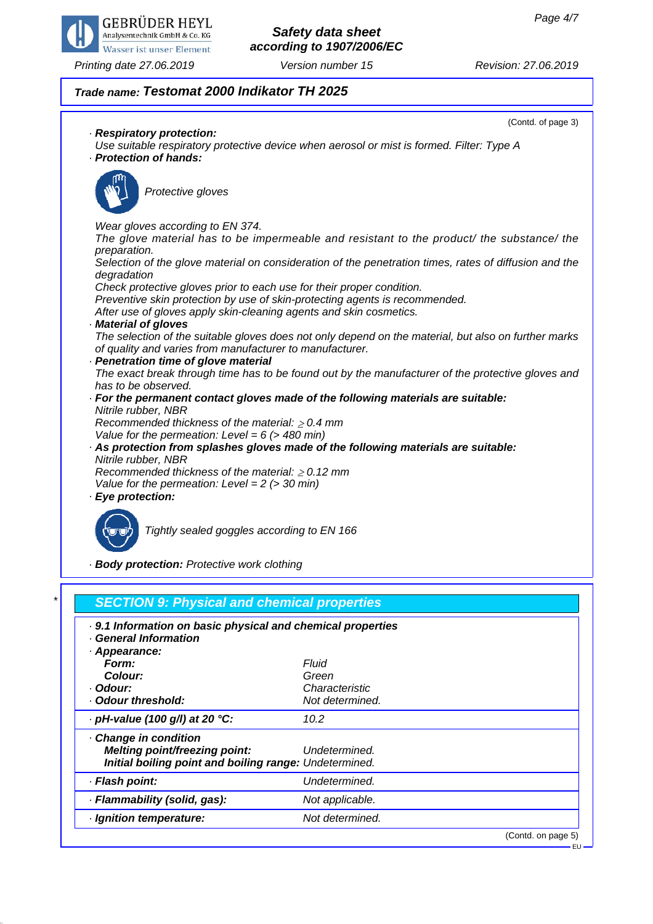

*Printing date 27.06.2019 Revision: 27.06.2019 Version number 15*

# *Safety data sheet according to 1907/2006/EC*

## *Trade name: Testomat 2000 Indikator TH 2025*

(Contd. of page 3) *· Respiratory protection: Use suitable respiratory protective device when aerosol or mist is formed. Filter: Type A · Protection of hands: Protective gloves Wear gloves according to EN 374. The glove material has to be impermeable and resistant to the product/ the substance/ the preparation. Selection of the glove material on consideration of the penetration times, rates of diffusion and the degradation Check protective gloves prior to each use for their proper condition. Preventive skin protection by use of skin-protecting agents is recommended. After use of gloves apply skin-cleaning agents and skin cosmetics. · Material of gloves The selection of the suitable gloves does not only depend on the material, but also on further marks of quality and varies from manufacturer to manufacturer. · Penetration time of glove material The exact break through time has to be found out by the manufacturer of the protective gloves and has to be observed. · For the permanent contact gloves made of the following materials are suitable: Nitrile rubber, NBR Recommended thickness of the material: 0.4 mm Value for the permeation: Level = 6 (> 480 min) · As protection from splashes gloves made of the following materials are suitable: Nitrile rubber, NBR Recommended thickness of the material: 0.12 mm Value for the permeation: Level = 2 (> 30 min) · Eye protection:*



*Tightly sealed goggles according to EN 166*

*· Body protection: Protective work clothing*

| . 9.1 Information on basic physical and chemical properties<br><b>General Information</b> |                 |  |
|-------------------------------------------------------------------------------------------|-----------------|--|
| · Appearance:                                                                             |                 |  |
| Form:                                                                                     | Fluid           |  |
| Colour:                                                                                   | Green           |  |
| · Odour:                                                                                  | Characteristic  |  |
| · Odour threshold:                                                                        | Not determined. |  |
| $\cdot$ pH-value (100 g/l) at 20 °C:                                                      | 10.2            |  |
| Change in condition                                                                       |                 |  |
| <b>Melting point/freezing point:</b>                                                      | Undetermined.   |  |
| Initial boiling point and boiling range: Undetermined.                                    |                 |  |
| · Flash point:                                                                            | Undetermined.   |  |
| · Flammability (solid, gas):                                                              | Not applicable. |  |
| · Ignition temperature:                                                                   | Not determined. |  |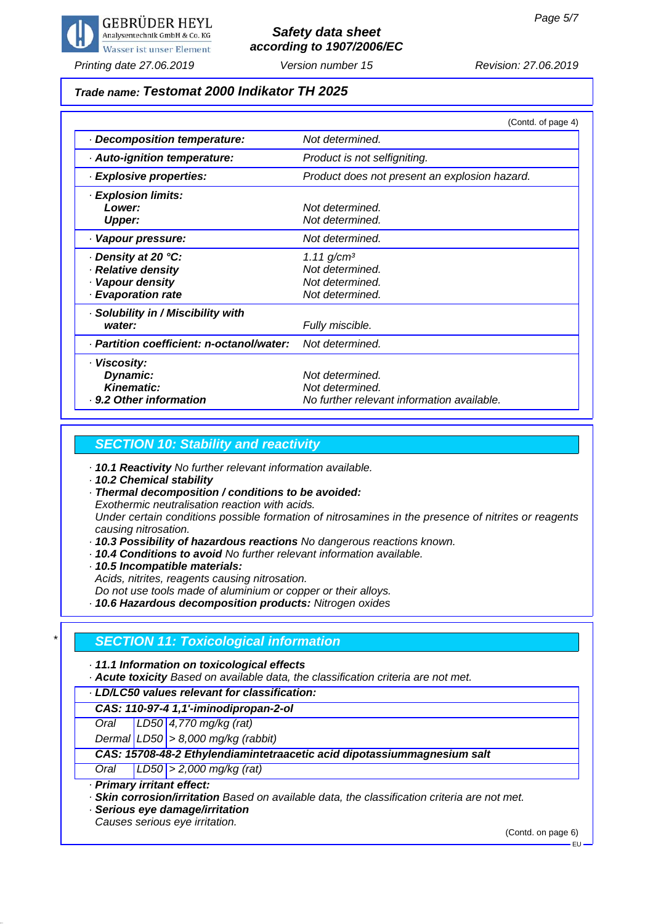

*Printing date 27.06.2019 Revision: 27.06.2019 Version number 15*

### *Trade name: Testomat 2000 Indikator TH 2025*

|                                                                                        | (Contd. of page 4)                                                                |
|----------------------------------------------------------------------------------------|-----------------------------------------------------------------------------------|
| Decomposition temperature:                                                             | Not determined.                                                                   |
| · Auto-ignition temperature:                                                           | Product is not selfigniting.                                                      |
| · Explosive properties:                                                                | Product does not present an explosion hazard.                                     |
| · Explosion limits:<br>Lower:<br><b>Upper:</b>                                         | Not determined.<br>Not determined.                                                |
| · Vapour pressure:                                                                     | Not determined.                                                                   |
| Density at 20 °C:<br>· Relative density<br>· Vapour density<br><b>Evaporation rate</b> | $1.11$ g/cm <sup>3</sup><br>Not determined.<br>Not determined.<br>Not determined. |
| · Solubility in / Miscibility with<br>water:                                           | Fully miscible.                                                                   |
| · Partition coefficient: n-octanol/water:                                              | Not determined.                                                                   |
| · Viscosity:<br>Dynamic:<br><b>Kinematic:</b><br>· 9.2 Other information               | Not determined.<br>Not determined.<br>No further relevant information available.  |

## *SECTION 10: Stability and reactivity*

*· 10.1 Reactivity No further relevant information available.*

*· 10.2 Chemical stability*

*· Thermal decomposition / conditions to be avoided:*

*Exothermic neutralisation reaction with acids.*

*Under certain conditions possible formation of nitrosamines in the presence of nitrites or reagents causing nitrosation.*

- *· 10.3 Possibility of hazardous reactions No dangerous reactions known.*
- *· 10.4 Conditions to avoid No further relevant information available.*
- *· 10.5 Incompatible materials:*

*Acids, nitrites, reagents causing nitrosation.*

*Do not use tools made of aluminium or copper or their alloys.*

*· 10.6 Hazardous decomposition products: Nitrogen oxides*

## *\* SECTION 11: Toxicological information*

### *· 11.1 Information on toxicological effects*

*· Acute toxicity Based on available data, the classification criteria are not met.*

### *· LD/LC50 values relevant for classification:*

*CAS: 110-97-4 1,1'-iminodipropan-2-ol*

*Oral LD50 4,770 mg/kg (rat)*

*Dermal LD50 > 8,000 mg/kg (rabbit)*

### *CAS: 15708-48-2 Ethylendiamintetraacetic acid dipotassiummagnesium salt*

*Oral LD50 > 2,000 mg/kg (rat)*

*· Primary irritant effect:*

*· Skin corrosion/irritation Based on available data, the classification criteria are not met.*

*· Serious eye damage/irritation*

*Causes serious eye irritation.*

(Contd. on page 6)

EU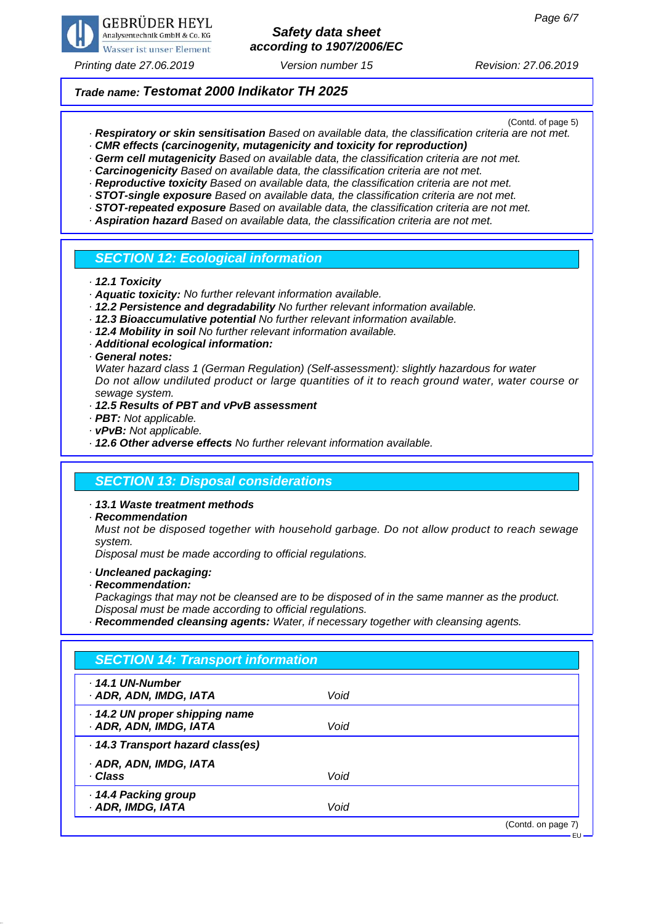

*Printing date 27.06.2019 Revision: 27.06.2019 Version number 15*

### *Trade name: Testomat 2000 Indikator TH 2025*

(Contd. of page 5)

- *· Respiratory or skin sensitisation Based on available data, the classification criteria are not met.*
- *· CMR effects (carcinogenity, mutagenicity and toxicity for reproduction)*
- *· Germ cell mutagenicity Based on available data, the classification criteria are not met.*
- *· Carcinogenicity Based on available data, the classification criteria are not met.*
- *· Reproductive toxicity Based on available data, the classification criteria are not met. · STOT-single exposure Based on available data, the classification criteria are not met.*
- *· STOT-repeated exposure Based on available data, the classification criteria are not met.*
- *· Aspiration hazard Based on available data, the classification criteria are not met.*

### *SECTION 12: Ecological information*

*· 12.1 Toxicity*

- *· Aquatic toxicity: No further relevant information available.*
- *· 12.2 Persistence and degradability No further relevant information available.*
- *· 12.3 Bioaccumulative potential No further relevant information available.*
- *· 12.4 Mobility in soil No further relevant information available.*
- *· Additional ecological information:*

*· General notes:*

*Water hazard class 1 (German Regulation) (Self-assessment): slightly hazardous for water Do not allow undiluted product or large quantities of it to reach ground water, water course or sewage system.*

- *· 12.5 Results of PBT and vPvB assessment*
- *· PBT: Not applicable.*
- *· vPvB: Not applicable.*
- *· 12.6 Other adverse effects No further relevant information available.*

### *SECTION 13: Disposal considerations*

*· 13.1 Waste treatment methods*

*· Recommendation*

*Must not be disposed together with household garbage. Do not allow product to reach sewage system.*

*Disposal must be made according to official regulations.*

- *· Uncleaned packaging:*
- *· Recommendation:*

*Packagings that may not be cleansed are to be disposed of in the same manner as the product. Disposal must be made according to official regulations.*

*· Recommended cleansing agents: Water, if necessary together with cleansing agents.*

| $\cdot$ 14.1 UN-Number            |      |  |
|-----------------------------------|------|--|
| · ADR, ADN, IMDG, IATA            | Void |  |
| · 14.2 UN proper shipping name    |      |  |
| · ADR, ADN, IMDG, IATA            | Void |  |
| · 14.3 Transport hazard class(es) |      |  |
| · ADR, ADN, IMDG, IATA            |      |  |
| · Class                           | Void |  |
| 14.4 Packing group                |      |  |
| · ADR, IMDG, IATA                 | Void |  |

EU